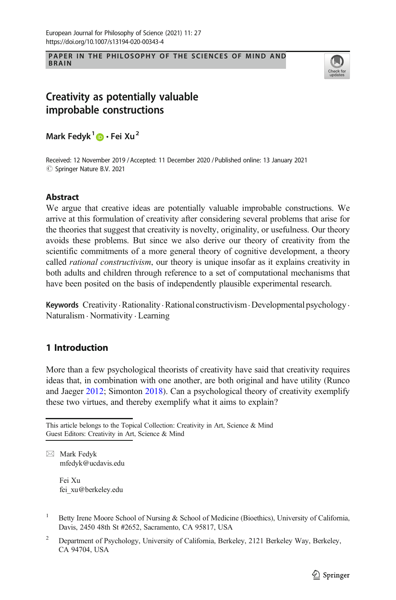PAPER IN THE PHILOSOPHY OF THE SCIENCES OF MIND AND BRAIN



# Creativity as potentially valuable improbable constructions

Mark Fedyk<sup>1</sup>  $\bullet$  · Fei Xu<sup>2</sup>

Received: 12 November 2019 / Accepted: 11 December 2020 /Published online: 13 January 2021  $\oslash$  Springer Nature B.V. 2021

### **Abstract**

We argue that creative ideas are potentially valuable improbable constructions. We arrive at this formulation of creativity after considering several problems that arise for the theories that suggest that creativity is novelty, originality, or usefulness. Our theory avoids these problems. But since we also derive our theory of creativity from the scientific commitments of a more general theory of cognitive development, a theory called *rational constructivism*, our theory is unique insofar as it explains creativity in both adults and children through reference to a set of computational mechanisms that have been posited on the basis of independently plausible experimental research.

Keywords Creativity  $\cdot$  Rationality  $\cdot$  Rational constructivism  $\cdot$  Developmental psychology $\cdot$ Naturalism . Normativity . Learning

# 1 Introduction

More than a few psychological theorists of creativity have said that creativity requires ideas that, in combination with one another, are both original and have utility (Runco and Jaeger [2012](#page-23-0); Simonton [2018\)](#page-23-0). Can a psychological theory of creativity exemplify these two virtues, and thereby exemplify what it aims to explain?

This article belongs to the Topical Collection: Creativity in Art, Science & Mind Guest Editors: Creativity in Art, Science & Mind

 $\boxtimes$  Mark Fedyk [mfedyk@ucdavis.edu](mailto:mfedyk@ucdavis.edu)

> Fei Xu fei\_xu@berkeley.edu

<sup>2</sup> Department of Psychology, University of California, Berkeley, 2121 Berkeley Way, Berkeley, CA 94704, USA

<sup>&</sup>lt;sup>1</sup> Betty Irene Moore School of Nursing & School of Medicine (Bioethics), University of California, Davis, 2450 48th St #2652, Sacramento, CA 95817, USA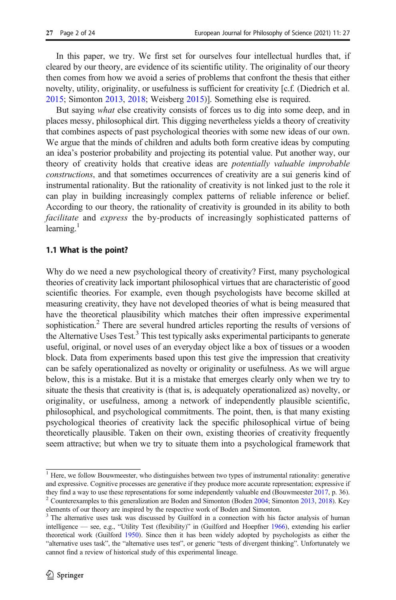In this paper, we try. We first set for ourselves four intellectual hurdles that, if cleared by our theory, are evidence of its scientific utility. The originality of our theory then comes from how we avoid a series of problems that confront the thesis that either novelty, utility, originality, or usefulness is sufficient for creativity [c.f. (Diedrich et al. [2015;](#page-22-0) Simonton [2013,](#page-23-0) [2018](#page-23-0); Weisberg 2015)]. Something else is required.

But saying what else creativity consists of forces us to dig into some deep, and in places messy, philosophical dirt. This digging nevertheless yields a theory of creativity that combines aspects of past psychological theories with some new ideas of our own. We argue that the minds of children and adults both form creative ideas by computing an idea's posterior probability and projecting its potential value. Put another way, our theory of creativity holds that creative ideas are *potentially valuable improbable* constructions, and that sometimes occurrences of creativity are a sui generis kind of instrumental rationality. But the rationality of creativity is not linked just to the role it can play in building increasingly complex patterns of reliable inference or belief. According to our theory, the rationality of creativity is grounded in its ability to both facilitate and express the by-products of increasingly sophisticated patterns of learning. $<sup>1</sup>$ </sup>

### 1.1 What is the point?

Why do we need a new psychological theory of creativity? First, many psychological theories of creativity lack important philosophical virtues that are characteristic of good scientific theories. For example, even though psychologists have become skilled at measuring creativity, they have not developed theories of what is being measured that have the theoretical plausibility which matches their often impressive experimental sophistication.<sup>2</sup> There are several hundred articles reporting the results of versions of the Alternative Uses Test.3 This test typically asks experimental participants to generate useful, original, or novel uses of an everyday object like a box of tissues or a wooden block. Data from experiments based upon this test give the impression that creativity can be safely operationalized as novelty or originality or usefulness. As we will argue below, this is a mistake. But it is a mistake that emerges clearly only when we try to situate the thesis that creativity is (that is, is adequately operationalized as) novelty, or originality, or usefulness, among a network of independently plausible scientific, philosophical, and psychological commitments. The point, then, is that many existing psychological theories of creativity lack the specific philosophical virtue of being theoretically plausible. Taken on their own, existing theories of creativity frequently seem attractive; but when we try to situate them into a psychological framework that

 $1$  Here, we follow Bouwmeester, who distinguishes between two types of instrumental rationality: generative and expressive. Cognitive processes are generative if they produce more accurate representation; expressive if they find a way to use these representations for some independently valuable end (Bouwmeester [2017](#page-22-0), p. 36). <sup>2</sup> Counterexamples to this generalization are Boden and Simonton (Boden [2004;](#page-22-0) Simonton [2013](#page-23-0), [2018\)](#page-23-0). Key elements of our theory are inspired by the respective work of Boden and Simonton.

<sup>&</sup>lt;sup>3</sup> The alternative uses task was discussed by Guilford in a connection with his factor analysis of human intelligence — see, e.g., "Utility Test (flexibility)" in (Guilford and Hoepfner [1966\)](#page-22-0), extending his earlier theoretical work (Guilford [1950\)](#page-22-0). Since then it has been widely adopted by psychologists as either the "alternative uses task", the "alternative uses test", or generic "tests of divergent thinking". Unfortunately we cannot find a review of historical study of this experimental lineage.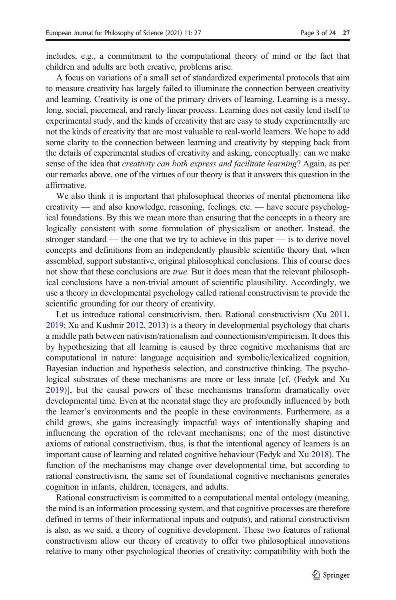includes, e.g., a commitment to the computational theory of mind or the fact that children and adults are both creative, problems arise.

A focus on variations of a small set of standardized experimental protocols that aim to measure creativity has largely failed to illuminate the connection between creativity and learning. Creativity is one of the primary drivers of learning. Learning is a messy, long, social, piecemeal, and rarely linear process. Learning does not easily lend itself to experimental study, and the kinds of creativity that are easy to study experimentally are not the kinds of creativity that are most valuable to real-world learners. We hope to add some clarity to the connection between learning and creativity by stepping back from the details of experimental studies of creativity and asking, conceptually: can we make sense of the idea that *creativity can both express and facilitate learning*? Again, as per our remarks above, one of the virtues of our theory is that it answers this question in the affirmative.

We also think it is important that philosophical theories of mental phenomena like creativity — and also knowledge, reasoning, feelings, etc. — have secure psychological foundations. By this we mean more than ensuring that the concepts in a theory are logically consistent with some formulation of physicalism or another. Instead, the stronger standard — the one that we try to achieve in this paper — is to derive novel concepts and definitions from an independently plausible scientific theory that, when assembled, support substantive, original philosophical conclusions. This of course does not show that these conclusions are *true*. But it does mean that the relevant philosophical conclusions have a non-trivial amount of scientific plausibility. Accordingly, we use a theory in developmental psychology called rational constructivism to provide the scientific grounding for our theory of creativity.

Let us introduce rational constructivism, then. Rational constructivism (Xu 2011, 2019; Xu and Kushnir 2012, 2013) is a theory in developmental psychology that charts a middle path between nativism/rationalism and connectionism/empiricism. It does this by hypothesizing that all learning is caused by three cognitive mechanisms that are computational in nature: language acquisition and symbolic/lexicalized cognition, Bayesian induction and hypothesis selection, and constructive thinking. The psychological substrates of these mechanisms are more or less innate [cf. (Fedyk and Xu [2019](#page-22-0))], but the causal powers of these mechanisms transform dramatically over developmental time. Even at the neonatal stage they are profoundly influenced by both the learner's environments and the people in these environments. Furthermore, as a child grows, she gains increasingly impactful ways of intentionally shaping and influencing the operation of the relevant mechanisms; one of the most distinctive axioms of rational constructivism, thus, is that the intentional agency of learners is an important cause of learning and related cognitive behaviour (Fedyk and Xu [2018](#page-22-0)). The function of the mechanisms may change over developmental time, but according to rational constructivism, the same set of foundational cognitive mechanisms generates cognition in infants, children, teenagers, and adults.

Rational constructivism is committed to a computational mental ontology (meaning, the mind is an information processing system, and that cognitive processes are therefore defined in terms of their informational inputs and outputs), and rational constructivism is also, as we said, a theory of cognitive development. These two features of rational constructivism allow our theory of creativity to offer two philosophical innovations relative to many other psychological theories of creativity: compatibility with both the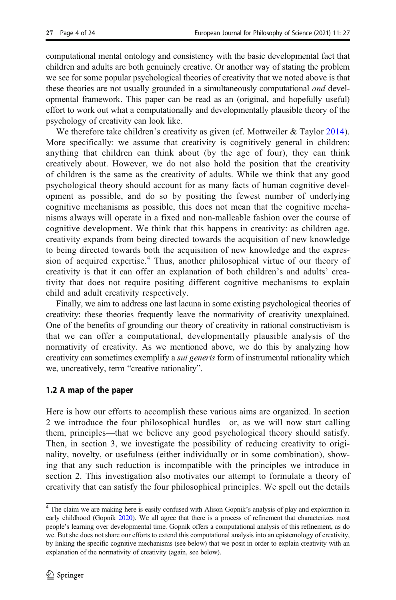computational mental ontology and consistency with the basic developmental fact that children and adults are both genuinely creative. Or another way of stating the problem we see for some popular psychological theories of creativity that we noted above is that these theories are not usually grounded in a simultaneously computational *and* developmental framework. This paper can be read as an (original, and hopefully useful) effort to work out what a computationally and developmentally plausible theory of the psychology of creativity can look like.

We therefore take children's creativity as given (cf. Mottweiler & Taylor [2014\)](#page-23-0). More specifically: we assume that creativity is cognitively general in children: anything that children can think about (by the age of four), they can think creatively about. However, we do not also hold the position that the creativity of children is the same as the creativity of adults. While we think that any good psychological theory should account for as many facts of human cognitive development as possible, and do so by positing the fewest number of underlying cognitive mechanisms as possible, this does not mean that the cognitive mechanisms always will operate in a fixed and non-malleable fashion over the course of cognitive development. We think that this happens in creativity: as children age, creativity expands from being directed towards the acquisition of new knowledge to being directed towards both the acquisition of new knowledge and the expression of acquired expertise.<sup>4</sup> Thus, another philosophical virtue of our theory of creativity is that it can offer an explanation of both children's and adults' creativity that does not require positing different cognitive mechanisms to explain child and adult creativity respectively.

Finally, we aim to address one last lacuna in some existing psychological theories of creativity: these theories frequently leave the normativity of creativity unexplained. One of the benefits of grounding our theory of creativity in rational constructivism is that we can offer a computational, developmentally plausible analysis of the normativity of creativity. As we mentioned above, we do this by analyzing how creativity can sometimes exemplify a *sui generis* form of instrumental rationality which we, uncreatively, term "creative rationality".

### 1.2 A map of the paper

Here is how our efforts to accomplish these various aims are organized. In section 2 we introduce the four philosophical hurdles—or, as we will now start calling them, principles—that we believe any good psychological theory should satisfy. Then, in section 3, we investigate the possibility of reducing creativity to originality, novelty, or usefulness (either individually or in some combination), showing that any such reduction is incompatible with the principles we introduce in section 2. This investigation also motivates our attempt to formulate a theory of creativity that can satisfy the four philosophical principles. We spell out the details

<sup>&</sup>lt;sup>4</sup> The claim we are making here is easily confused with Alison Gopnik's analysis of play and exploration in early childhood (Gopnik [2020](#page-22-0)). We all agree that there is a process of refinement that characterizes most people's learning over developmental time. Gopnik offers a computational analysis of this refinement, as do we. But she does not share our efforts to extend this computational analysis into an epistemology of creativity, by linking the specific cognitive mechanisms (see below) that we posit in order to explain creativity with an explanation of the normativity of creativity (again, see below).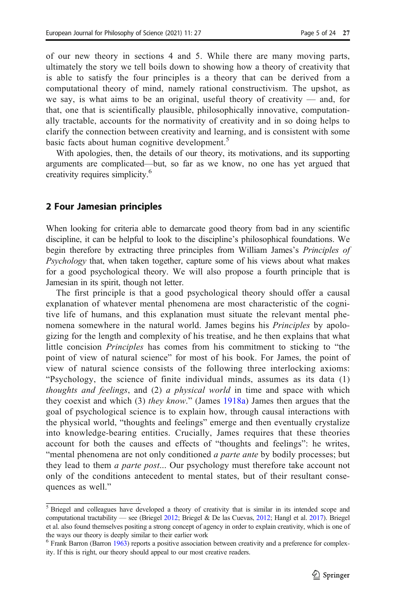of our new theory in sections 4 and 5. While there are many moving parts, ultimately the story we tell boils down to showing how a theory of creativity that is able to satisfy the four principles is a theory that can be derived from a computational theory of mind, namely rational constructivism. The upshot, as we say, is what aims to be an original, useful theory of creativity — and, for that, one that is scientifically plausible, philosophically innovative, computationally tractable, accounts for the normativity of creativity and in so doing helps to clarify the connection between creativity and learning, and is consistent with some basic facts about human cognitive development.<sup>5</sup>

With apologies, then, the details of our theory, its motivations, and its supporting arguments are complicated—but, so far as we know, no one has yet argued that creativity requires simplicity.6

### 2 Four Jamesian principles

When looking for criteria able to demarcate good theory from bad in any scientific discipline, it can be helpful to look to the discipline's philosophical foundations. We begin therefore by extracting three principles from William James's Principles of Psychology that, when taken together, capture some of his views about what makes for a good psychological theory. We will also propose a fourth principle that is Jamesian in its spirit, though not letter.

The first principle is that a good psychological theory should offer a causal explanation of whatever mental phenomena are most characteristic of the cognitive life of humans, and this explanation must situate the relevant mental phenomena somewhere in the natural world. James begins his *Principles* by apologizing for the length and complexity of his treatise, and he then explains that what little concision Principles has comes from his commitment to sticking to "the point of view of natural science" for most of his book. For James, the point of view of natural science consists of the following three interlocking axioms: "Psychology, the science of finite individual minds, assumes as its data (1) thoughts and feelings, and (2) a physical world in time and space with which they coexist and which (3) they know." (James [1918a\)](#page-22-0) James then argues that the goal of psychological science is to explain how, through causal interactions with the physical world, "thoughts and feelings" emerge and then eventually crystalize into knowledge-bearing entities. Crucially, James requires that these theories account for both the causes and effects of "thoughts and feelings": he writes, "mental phenomena are not only conditioned *a parte ante* by bodily processes; but they lead to them *a parte post*... Our psychology must therefore take account not only of the conditions antecedent to mental states, but of their resultant consequences as well."

<sup>&</sup>lt;sup>5</sup> Briegel and colleagues have developed a theory of creativity that is similar in its intended scope and computational tractability — see (Briegel [2012;](#page-22-0) Briegel & De las Cuevas, [2012](#page-22-0); Hangl et al. [2017](#page-22-0)). Briegel et al. also found themselves positing a strong concept of agency in order to explain creativity, which is one of the ways our theory is deeply similar to their earlier work

<sup>6</sup> Frank Barron (Barron [1963](#page-22-0)) reports a positive association between creativity and a preference for complexity. If this is right, our theory should appeal to our most creative readers.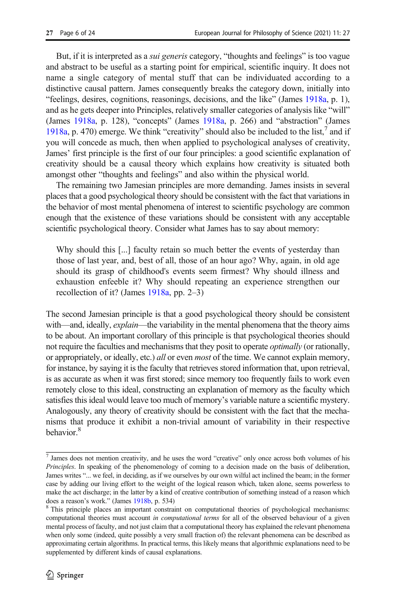But, if it is interpreted as a *sui generis* category, "thoughts and feelings" is too vague and abstract to be useful as a starting point for empirical, scientific inquiry. It does not name a single category of mental stuff that can be individuated according to a distinctive causal pattern. James consequently breaks the category down, initially into "feelings, desires, cognitions, reasonings, decisions, and the like" (James [1918a](#page-22-0), p. 1), and as he gets deeper into Principles, relatively smaller categories of analysis like "will" (James [1918a,](#page-22-0) p. 128), "concepts" (James [1918a,](#page-22-0) p. 266) and "abstraction" (James [1918a,](#page-22-0) p. 470) emerge. We think "creativity" should also be included to the list, $7$  and if you will concede as much, then when applied to psychological analyses of creativity, James' first principle is the first of our four principles: a good scientific explanation of creativity should be a causal theory which explains how creativity is situated both amongst other "thoughts and feelings" and also within the physical world.

The remaining two Jamesian principles are more demanding. James insists in several places that a good psychological theory should be consistent with the fact that variations in the behavior of most mental phenomena of interest to scientific psychology are common enough that the existence of these variations should be consistent with any acceptable scientific psychological theory. Consider what James has to say about memory:

Why should this [...] faculty retain so much better the events of yesterday than those of last year, and, best of all, those of an hour ago? Why, again, in old age should its grasp of childhood's events seem firmest? Why should illness and exhaustion enfeeble it? Why should repeating an experience strengthen our recollection of it? (James [1918a,](#page-22-0) pp. 2–3)

The second Jamesian principle is that a good psychological theory should be consistent with—and, ideally, *explain*—the variability in the mental phenomena that the theory aims to be about. An important corollary of this principle is that psychological theories should not require the faculties and mechanisms that they posit to operate *optimally* (or rationally, or appropriately, or ideally, etc.) all or even most of the time. We cannot explain memory, for instance, by saying it is the faculty that retrieves stored information that, upon retrieval, is as accurate as when it was first stored; since memory too frequently fails to work even remotely close to this ideal, constructing an explanation of memory as the faculty which satisfies this ideal would leave too much of memory's variable nature a scientific mystery. Analogously, any theory of creativity should be consistent with the fact that the mechanisms that produce it exhibit a non-trivial amount of variability in their respective behavior<sup>8</sup>

 $\frac{7}{7}$  James does not mention creativity, and he uses the word "creative" only once across both volumes of his Principles. In speaking of the phenomenology of coming to a decision made on the basis of deliberation, James writes "... we feel, in deciding, as if we ourselves by our own wilful act inclined the beam; in the former case by adding our living effort to the weight of the logical reason which, taken alone, seems powerless to make the act discharge; in the latter by a kind of creative contribution of something instead of a reason which does a reason's work." (James [1918b](#page-22-0), p. 534)<br><sup>8</sup> This principle places an important constraint on computational theories of psychological mechanisms:

computational theories must account in *computational terms* for all of the observed behaviour of a given mental process of faculty, and not just claim that a computational theory has explained the relevant phenomena when only some (indeed, quite possibly a very small fraction of) the relevant phenomena can be described as approximating certain algorithms. In practical terms, this likely means that algorithmic explanations need to be supplemented by different kinds of causal explanations.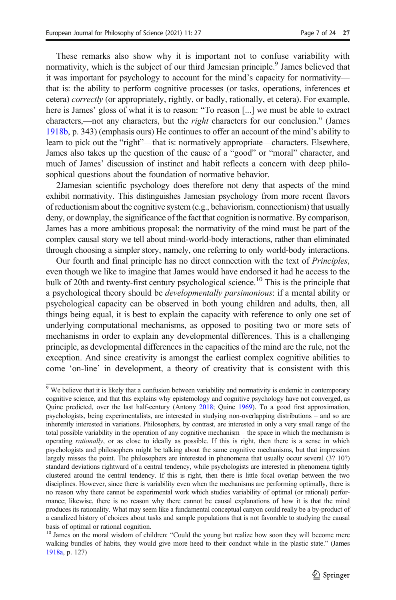These remarks also show why it is important not to confuse variability with normativity, which is the subject of our third Jamesian principle.<sup>9</sup> James believed that it was important for psychology to account for the mind's capacity for normativity that is: the ability to perform cognitive processes (or tasks, operations, inferences et cetera) correctly (or appropriately, rightly, or badly, rationally, et cetera). For example, here is James' gloss of what it is to reason: "To reason [...] we must be able to extract characters,—not any characters, but the right characters for our conclusion." (James [1918b](#page-22-0), p. 343) (emphasis ours) He continues to offer an account of the mind's ability to learn to pick out the "right"—that is: normatively appropriate—characters. Elsewhere, James also takes up the question of the cause of a "good" or "moral" character, and much of James' discussion of instinct and habit reflects a concern with deep philosophical questions about the foundation of normative behavior.

2Jamesian scientific psychology does therefore not deny that aspects of the mind exhibit normativity. This distinguishes Jamesian psychology from more recent flavors of reductionism about the cognitive system (e.g., behaviorism, connectionism) that usually deny, or downplay, the significance of the fact that cognition is normative. By comparison, James has a more ambitious proposal: the normativity of the mind must be part of the complex causal story we tell about mind-world-body interactions, rather than eliminated through choosing a simpler story, namely, one referring to only world-body interactions.

Our fourth and final principle has no direct connection with the text of Principles, even though we like to imagine that James would have endorsed it had he access to the bulk of 20th and twenty-first century psychological science.<sup>10</sup> This is the principle that a psychological theory should be developmentally parsimonious: if a mental ability or psychological capacity can be observed in both young children and adults, then, all things being equal, it is best to explain the capacity with reference to only one set of underlying computational mechanisms, as opposed to positing two or more sets of mechanisms in order to explain any developmental differences. This is a challenging principle, as developmental differences in the capacities of the mind are the rule, not the exception. And since creativity is amongst the earliest complex cognitive abilities to come 'on-line' in development, a theory of creativity that is consistent with this

<sup>&</sup>lt;sup>9</sup> We believe that it is likely that a confusion between variability and normativity is endemic in contemporary cognitive science, and that this explains why epistemology and cognitive psychology have not converged, as Quine predicted, over the last half-century (Antony [2018;](#page-22-0) Quine [1969](#page-23-0)). To a good first approximation, psychologists, being experimentalists, are interested in studying non-overlapping distributions – and so are inherently interested in variations. Philosophers, by contrast, are interested in only a very small range of the total possible variability in the operation of any cognitive mechanism – the space in which the mechanism is operating rationally, or as close to ideally as possible. If this is right, then there is a sense in which psychologists and philosophers might be talking about the same cognitive mechanisms, but that impression largely misses the point. The philosophers are interested in phenomena that usually occur several (3? 10?) standard deviations rightward of a central tendency, while psychologists are interested in phenomena tightly clustered around the central tendency. If this is right, then there is little focal overlap between the two disciplines. However, since there is variability even when the mechanisms are performing optimally, there is no reason why there cannot be experimental work which studies variability of optimal (or rational) performance; likewise, there is no reason why there cannot be causal explanations of how it is that the mind produces its rationality. What may seem like a fundamental conceptual canyon could really be a by-product of a canalized history of choices about tasks and sample populations that is not favorable to studying the causal basis of optimal or rational cognition.

<sup>&</sup>lt;sup>10</sup> James on the moral wisdom of children: "Could the young but realize how soon they will become mere walking bundles of habits, they would give more heed to their conduct while in the plastic state." (James [1918a,](#page-22-0) p. 127)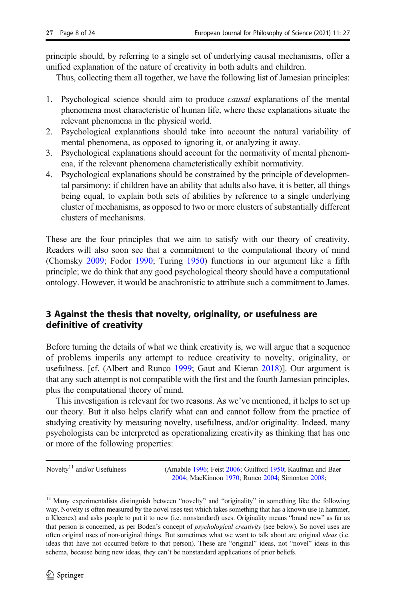principle should, by referring to a single set of underlying causal mechanisms, offer a unified explanation of the nature of creativity in both adults and children.

Thus, collecting them all together, we have the following list of Jamesian principles:

- 1. Psychological science should aim to produce *causal* explanations of the mental phenomena most characteristic of human life, where these explanations situate the relevant phenomena in the physical world.
- 2. Psychological explanations should take into account the natural variability of mental phenomena, as opposed to ignoring it, or analyzing it away.
- 3. Psychological explanations should account for the normativity of mental phenomena, if the relevant phenomena characteristically exhibit normativity.
- 4. Psychological explanations should be constrained by the principle of developmental parsimony: if children have an ability that adults also have, it is better, all things being equal, to explain both sets of abilities by reference to a single underlying cluster of mechanisms, as opposed to two or more clusters of substantially different clusters of mechanisms.

These are the four principles that we aim to satisfy with our theory of creativity. Readers will also soon see that a commitment to the computational theory of mind (Chomsky [2009;](#page-22-0) Fodor [1990;](#page-22-0) Turing 1950) functions in our argument like a fifth principle; we do think that any good psychological theory should have a computational ontology. However, it would be anachronistic to attribute such a commitment to James.

# 3 Against the thesis that novelty, originality, or usefulness are definitive of creativity

Before turning the details of what we think creativity is, we will argue that a sequence of problems imperils any attempt to reduce creativity to novelty, originality, or usefulness. [cf. (Albert and Runco [1999;](#page-21-0) Gaut and Kieran [2018\)](#page-22-0)]. Our argument is that any such attempt is not compatible with the first and the fourth Jamesian principles, plus the computational theory of mind.

This investigation is relevant for two reasons. As we've mentioned, it helps to set up our theory. But it also helps clarify what can and cannot follow from the practice of studying creativity by measuring novelty, usefulness, and/or originality. Indeed, many psychologists can be interpreted as operationalizing creativity as thinking that has one or more of the following properties:

Novelty<sup>11</sup> and/or Usefulness (Amabile [1996;](#page-22-0) Feist [2006;](#page-22-0) Guilford [1950](#page-22-0); Kaufman and Baer [2004](#page-22-0); MacKinnon [1970;](#page-22-0) Runco [2004](#page-23-0); Simonton [2008](#page-23-0);

<sup>&</sup>lt;sup>11</sup> Many experimentalists distinguish between "novelty" and "originality" in something like the following way. Novelty is often measured by the novel uses test which takes something that has a known use (a hammer, a Kleenex) and asks people to put it to new (i.e. nonstandard) uses. Originality means "brand new" as far as that person is concerned, as per Boden's concept of *psychological creativity* (see below). So novel uses are often original uses of non-original things. But sometimes what we want to talk about are original ideas (i.e. ideas that have not occurred before to that person). These are "original" ideas, not "novel" ideas in this schema, because being new ideas, they can't be nonstandard applications of prior beliefs.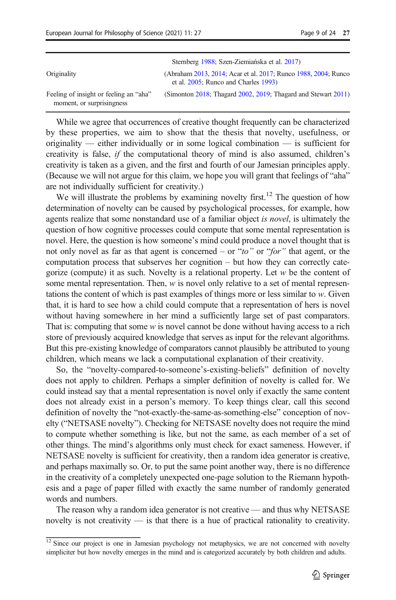|                                                                     | Sternberg 1988; Szen-Ziemiańska et al. 2017)                                                           |
|---------------------------------------------------------------------|--------------------------------------------------------------------------------------------------------|
| Originality                                                         | (Abraham 2013, 2014; Acar et al. 2017; Runco 1988, 2004; Runco<br>et al. 2005; Runco and Charles 1993) |
| Feeling of insight or feeling an "aha"<br>moment, or surprisingness | (Simonton 2018; Thagard 2002, 2019; Thagard and Stewart 2011)                                          |

While we agree that occurrences of creative thought frequently can be characterized by these properties, we aim to show that the thesis that novelty, usefulness, or originality — either individually or in some logical combination — is sufficient for creativity is false, if the computational theory of mind is also assumed, children's creativity is taken as a given, and the first and fourth of our Jamesian principles apply. (Because we will not argue for this claim, we hope you will grant that feelings of "aha" are not individually sufficient for creativity.)

We will illustrate the problems by examining novelty first.<sup>12</sup> The question of how determination of novelty can be caused by psychological processes, for example, how agents realize that some nonstandard use of a familiar object is novel, is ultimately the question of how cognitive processes could compute that some mental representation is novel. Here, the question is how someone's mind could produce a novel thought that is not only novel as far as that agent is concerned – or "to" or "for" that agent, or the computation process that subserves her cognition – but how they can correctly categorize (compute) it as such. Novelty is a relational property. Let w be the content of some mental representation. Then,  $w$  is novel only relative to a set of mental representations the content of which is past examples of things more or less similar to  $w$ . Given that, it is hard to see how a child could compute that a representation of hers is novel without having somewhere in her mind a sufficiently large set of past comparators. That is: computing that some  $w$  is novel cannot be done without having access to a rich store of previously acquired knowledge that serves as input for the relevant algorithms. But this pre-existing knowledge of comparators cannot plausibly be attributed to young children, which means we lack a computational explanation of their creativity.

So, the "novelty-compared-to-someone's-existing-beliefs" definition of novelty does not apply to children. Perhaps a simpler definition of novelty is called for. We could instead say that a mental representation is novel only if exactly the same content does not already exist in a person's memory. To keep things clear, call this second definition of novelty the "not-exactly-the-same-as-something-else" conception of novelty ("NETSASE novelty"). Checking for NETSASE novelty does not require the mind to compute whether something is like, but not the same, as each member of a set of other things. The mind's algorithms only must check for exact sameness. However, if NETSASE novelty is sufficient for creativity, then a random idea generator is creative, and perhaps maximally so. Or, to put the same point another way, there is no difference in the creativity of a completely unexpected one-page solution to the Riemann hypothesis and a page of paper filled with exactly the same number of randomly generated words and numbers.

The reason why a random idea generator is not creative — and thus why NETSASE novelty is not creativity — is that there is a hue of practical rationality to creativity.

<sup>&</sup>lt;sup>12</sup> Since our project is one in Jamesian psychology not metaphysics, we are not concerned with novelty simpliciter but how novelty emerges in the mind and is categorized accurately by both children and adults.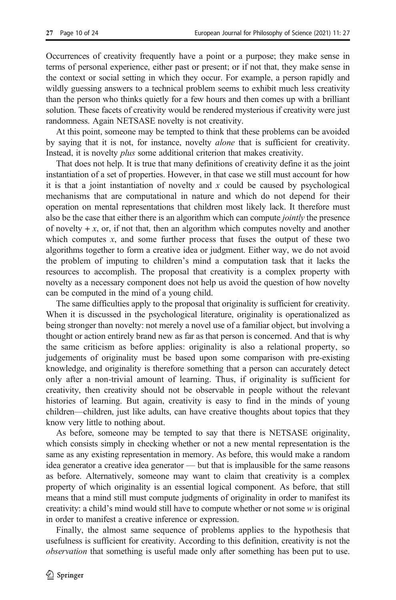Occurrences of creativity frequently have a point or a purpose; they make sense in terms of personal experience, either past or present; or if not that, they make sense in the context or social setting in which they occur. For example, a person rapidly and wildly guessing answers to a technical problem seems to exhibit much less creativity than the person who thinks quietly for a few hours and then comes up with a brilliant solution. These facets of creativity would be rendered mysterious if creativity were just randomness. Again NETSASE novelty is not creativity.

At this point, someone may be tempted to think that these problems can be avoided by saying that it is not, for instance, novelty *alone* that is sufficient for creativity. Instead, it is novelty plus some additional criterion that makes creativity.

That does not help. It is true that many definitions of creativity define it as the joint instantiation of a set of properties. However, in that case we still must account for how it is that a joint instantiation of novelty and  $x$  could be caused by psychological mechanisms that are computational in nature and which do not depend for their operation on mental representations that children most likely lack. It therefore must also be the case that either there is an algorithm which can compute *jointly* the presence of novelty  $+x$ , or, if not that, then an algorithm which computes novelty and another which computes  $x$ , and some further process that fuses the output of these two algorithms together to form a creative idea or judgment. Either way, we do not avoid the problem of imputing to children's mind a computation task that it lacks the resources to accomplish. The proposal that creativity is a complex property with novelty as a necessary component does not help us avoid the question of how novelty can be computed in the mind of a young child.

The same difficulties apply to the proposal that originality is sufficient for creativity. When it is discussed in the psychological literature, originality is operationalized as being stronger than novelty: not merely a novel use of a familiar object, but involving a thought or action entirely brand new as far as that person is concerned. And that is why the same criticism as before applies: originality is also a relational property, so judgements of originality must be based upon some comparison with pre-existing knowledge, and originality is therefore something that a person can accurately detect only after a non-trivial amount of learning. Thus, if originality is sufficient for creativity, then creativity should not be observable in people without the relevant histories of learning. But again, creativity is easy to find in the minds of young children—children, just like adults, can have creative thoughts about topics that they know very little to nothing about.

As before, someone may be tempted to say that there is NETSASE originality, which consists simply in checking whether or not a new mental representation is the same as any existing representation in memory. As before, this would make a random idea generator a creative idea generator — but that is implausible for the same reasons as before. Alternatively, someone may want to claim that creativity is a complex property of which originality is an essential logical component. As before, that still means that a mind still must compute judgments of originality in order to manifest its creativity: a child's mind would still have to compute whether or not some  $w$  is original in order to manifest a creative inference or expression.

Finally, the almost same sequence of problems applies to the hypothesis that usefulness is sufficient for creativity. According to this definition, creativity is not the observation that something is useful made only after something has been put to use.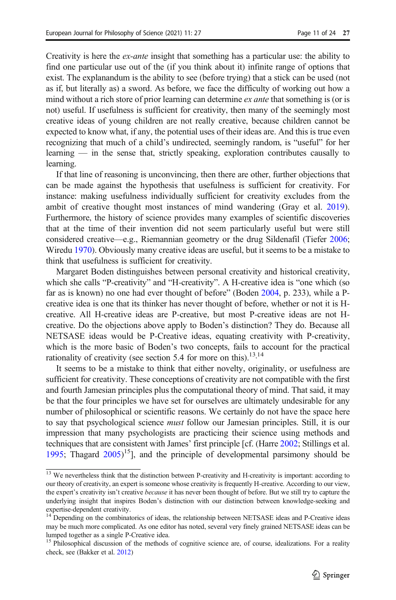Creativity is here the ex-ante insight that something has a particular use: the ability to find one particular use out of the (if you think about it) infinite range of options that exist. The explanandum is the ability to see (before trying) that a stick can be used (not as if, but literally as) a sword. As before, we face the difficulty of working out how a mind without a rich store of prior learning can determine *ex ante* that something is (or is not) useful. If usefulness is sufficient for creativity, then many of the seemingly most creative ideas of young children are not really creative, because children cannot be expected to know what, if any, the potential uses of their ideas are. And this is true even recognizing that much of a child's undirected, seemingly random, is "useful" for her learning — in the sense that, strictly speaking, exploration contributes causally to learning.

If that line of reasoning is unconvincing, then there are other, further objections that can be made against the hypothesis that usefulness is sufficient for creativity. For instance: making usefulness individually sufficient for creativity excludes from the ambit of creative thought most instances of mind wandering (Gray et al. [2019\)](#page-22-0). Furthermore, the history of science provides many examples of scientific discoveries that at the time of their invention did not seem particularly useful but were still considered creative—e.g., Riemannian geometry or the drug Sildenafil (Tiefer 2006; Wiredu 1970). Obviously many creative ideas are useful, but it seems to be a mistake to think that usefulness is sufficient for creativity.

Margaret Boden distinguishes between personal creativity and historical creativity, which she calls "P-creativity" and "H-creativity". A H-creative idea is "one which (so far as is known) no one had ever thought of before" (Boden [2004,](#page-22-0) p. 233), while a Pcreative idea is one that its thinker has never thought of before, whether or not it is Hcreative. All H-creative ideas are P-creative, but most P-creative ideas are not Hcreative. Do the objections above apply to Boden's distinction? They do. Because all NETSASE ideas would be P-Creative ideas, equating creativity with P-creativity, which is the more basic of Boden's two concepts, fails to account for the practical rationality of creativity (see section 5.4 for more on this).<sup>13,14</sup>

It seems to be a mistake to think that either novelty, originality, or usefulness are sufficient for creativity. These conceptions of creativity are not compatible with the first and fourth Jamesian principles plus the computational theory of mind. That said, it may be that the four principles we have set for ourselves are ultimately undesirable for any number of philosophical or scientific reasons. We certainly do not have the space here to say that psychological science *must* follow our Jamesian principles. Still, it is our impression that many psychologists are practicing their science using methods and techniques that are consistent with James' first principle [cf. (Harre [2002;](#page-22-0) Stillings et al. [1995;](#page-23-0) Thagard  $2005$ <sup>15</sup>], and the principle of developmental parsimony should be

<sup>&</sup>lt;sup>13</sup> We nevertheless think that the distinction between P-creativity and H-creativity is important: according to our theory of creativity, an expert is someone whose creativity is frequently H-creative. According to our view, the expert's creativity isn't creative *because* it has never been thought of before. But we still try to capture the underlying insight that inspires Boden's distinction with our distinction between knowledge-seeking and expertise-dependent creativity.

<sup>&</sup>lt;sup>14</sup> Depending on the combinatorics of ideas, the relationship between NETSASE ideas and P-Creative ideas may be much more complicated. As one editor has noted, several very finely grained NETSASE ideas can be lumped together as a single P-Creative idea.

<sup>&</sup>lt;sup>15</sup> Philosophical discussion of the methods of cognitive science are, of course, idealizations. For a reality check, see (Bakker et al. [2012](#page-22-0))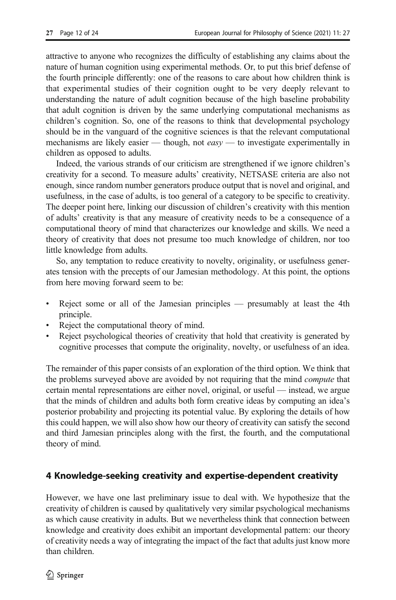attractive to anyone who recognizes the difficulty of establishing any claims about the nature of human cognition using experimental methods. Or, to put this brief defense of the fourth principle differently: one of the reasons to care about how children think is that experimental studies of their cognition ought to be very deeply relevant to understanding the nature of adult cognition because of the high baseline probability that adult cognition is driven by the same underlying computational mechanisms as children's cognition. So, one of the reasons to think that developmental psychology should be in the vanguard of the cognitive sciences is that the relevant computational mechanisms are likely easier — though, not easy — to investigate experimentally in children as opposed to adults.

Indeed, the various strands of our criticism are strengthened if we ignore children's creativity for a second. To measure adults' creativity, NETSASE criteria are also not enough, since random number generators produce output that is novel and original, and usefulness, in the case of adults, is too general of a category to be specific to creativity. The deeper point here, linking our discussion of children's creativity with this mention of adults' creativity is that any measure of creativity needs to be a consequence of a computational theory of mind that characterizes our knowledge and skills. We need a theory of creativity that does not presume too much knowledge of children, nor too little knowledge from adults.

So, any temptation to reduce creativity to novelty, originality, or usefulness generates tension with the precepts of our Jamesian methodology. At this point, the options from here moving forward seem to be:

- Reject some or all of the Jamesian principles presumably at least the 4th principle.
- Reject the computational theory of mind.
- Reject psychological theories of creativity that hold that creativity is generated by cognitive processes that compute the originality, novelty, or usefulness of an idea.

The remainder of this paper consists of an exploration of the third option. We think that the problems surveyed above are avoided by not requiring that the mind *compute* that certain mental representations are either novel, original, or useful — instead, we argue that the minds of children and adults both form creative ideas by computing an idea's posterior probability and projecting its potential value. By exploring the details of how this could happen, we will also show how our theory of creativity can satisfy the second and third Jamesian principles along with the first, the fourth, and the computational theory of mind.

# 4 Knowledge-seeking creativity and expertise-dependent creativity

However, we have one last preliminary issue to deal with. We hypothesize that the creativity of children is caused by qualitatively very similar psychological mechanisms as which cause creativity in adults. But we nevertheless think that connection between knowledge and creativity does exhibit an important developmental pattern: our theory of creativity needs a way of integrating the impact of the fact that adults just know more than children.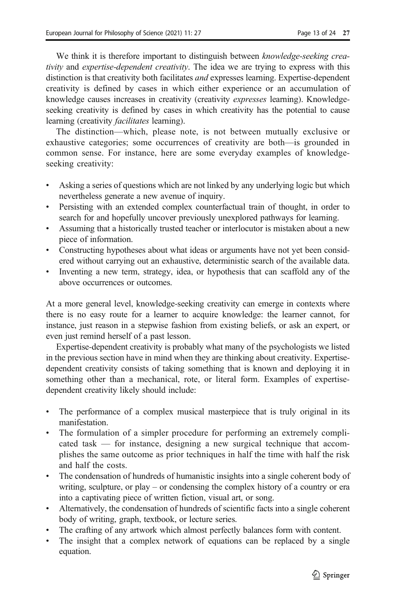We think it is therefore important to distinguish between *knowledge-seeking crea*tivity and expertise-dependent creativity. The idea we are trying to express with this distinction is that creativity both facilitates and expresses learning. Expertise-dependent creativity is defined by cases in which either experience or an accumulation of knowledge causes increases in creativity (creativity expresses learning). Knowledgeseeking creativity is defined by cases in which creativity has the potential to cause learning (creativity *facilitates* learning).

The distinction—which, please note, is not between mutually exclusive or exhaustive categories; some occurrences of creativity are both—is grounded in common sense. For instance, here are some everyday examples of knowledgeseeking creativity:

- & Asking a series of questions which are not linked by any underlying logic but which nevertheless generate a new avenue of inquiry.
- Persisting with an extended complex counterfactual train of thought, in order to search for and hopefully uncover previously unexplored pathways for learning.
- & Assuming that a historically trusted teacher or interlocutor is mistaken about a new piece of information.
- Constructing hypotheses about what ideas or arguments have not yet been considered without carrying out an exhaustive, deterministic search of the available data.
- Inventing a new term, strategy, idea, or hypothesis that can scaffold any of the above occurrences or outcomes.

At a more general level, knowledge-seeking creativity can emerge in contexts where there is no easy route for a learner to acquire knowledge: the learner cannot, for instance, just reason in a stepwise fashion from existing beliefs, or ask an expert, or even just remind herself of a past lesson.

Expertise-dependent creativity is probably what many of the psychologists we listed in the previous section have in mind when they are thinking about creativity. Expertisedependent creativity consists of taking something that is known and deploying it in something other than a mechanical, rote, or literal form. Examples of expertisedependent creativity likely should include:

- The performance of a complex musical masterpiece that is truly original in its manifestation.
- The formulation of a simpler procedure for performing an extremely complicated task — for instance, designing a new surgical technique that accomplishes the same outcome as prior techniques in half the time with half the risk and half the costs.
- & The condensation of hundreds of humanistic insights into a single coherent body of writing, sculpture, or play – or condensing the complex history of a country or era into a captivating piece of written fiction, visual art, or song.
- & Alternatively, the condensation of hundreds of scientific facts into a single coherent body of writing, graph, textbook, or lecture series.
- The crafting of any artwork which almost perfectly balances form with content.
- & The insight that a complex network of equations can be replaced by a single equation.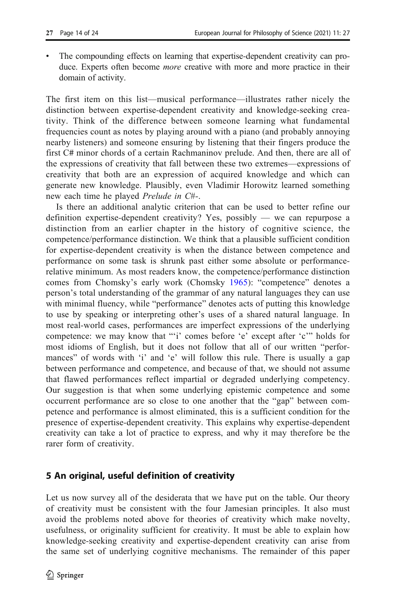The compounding effects on learning that expertise-dependent creativity can produce. Experts often become more creative with more and more practice in their domain of activity.

The first item on this list—musical performance—illustrates rather nicely the distinction between expertise-dependent creativity and knowledge-seeking creativity. Think of the difference between someone learning what fundamental frequencies count as notes by playing around with a piano (and probably annoying nearby listeners) and someone ensuring by listening that their fingers produce the first C# minor chords of a certain Rachmaninov prelude. And then, there are all of the expressions of creativity that fall between these two extremes—expressions of creativity that both are an expression of acquired knowledge and which can generate new knowledge. Plausibly, even Vladimir Horowitz learned something new each time he played Prelude in C#-.

Is there an additional analytic criterion that can be used to better refine our definition expertise-dependent creativity? Yes, possibly — we can repurpose a distinction from an earlier chapter in the history of cognitive science, the competence/performance distinction. We think that a plausible sufficient condition for expertise-dependent creativity is when the distance between competence and performance on some task is shrunk past either some absolute or performancerelative minimum. As most readers know, the competence/performance distinction comes from Chomsky's early work (Chomsky [1965](#page-22-0)): "competence" denotes a person's total understanding of the grammar of any natural languages they can use with minimal fluency, while "performance" denotes acts of putting this knowledge to use by speaking or interpreting other's uses of a shared natural language. In most real-world cases, performances are imperfect expressions of the underlying competence: we may know that "'i' comes before 'e' except after 'c'" holds for most idioms of English, but it does not follow that all of our written "performances" of words with 'i' and 'e' will follow this rule. There is usually a gap between performance and competence, and because of that, we should not assume that flawed performances reflect impartial or degraded underlying competency. Our suggestion is that when some underlying epistemic competence and some occurrent performance are so close to one another that the "gap" between competence and performance is almost eliminated, this is a sufficient condition for the presence of expertise-dependent creativity. This explains why expertise-dependent creativity can take a lot of practice to express, and why it may therefore be the rarer form of creativity.

# 5 An original, useful definition of creativity

Let us now survey all of the desiderata that we have put on the table. Our theory of creativity must be consistent with the four Jamesian principles. It also must avoid the problems noted above for theories of creativity which make novelty, usefulness, or originality sufficient for creativity. It must be able to explain how knowledge-seeking creativity and expertise-dependent creativity can arise from the same set of underlying cognitive mechanisms. The remainder of this paper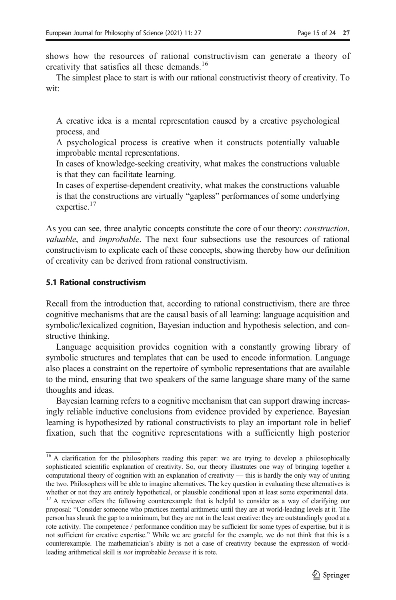shows how the resources of rational constructivism can generate a theory of creativity that satisfies all these demands.<sup>16</sup>

The simplest place to start is with our rational constructivist theory of creativity. To wit:

A creative idea is a mental representation caused by a creative psychological process, and

A psychological process is creative when it constructs potentially valuable improbable mental representations.

In cases of knowledge-seeking creativity, what makes the constructions valuable is that they can facilitate learning.

In cases of expertise-dependent creativity, what makes the constructions valuable is that the constructions are virtually "gapless" performances of some underlying expertise.<sup>17</sup>

As you can see, three analytic concepts constitute the core of our theory: construction, valuable, and improbable. The next four subsections use the resources of rational constructivism to explicate each of these concepts, showing thereby how our definition of creativity can be derived from rational constructivism.

### 5.1 Rational constructivism

Recall from the introduction that, according to rational constructivism, there are three cognitive mechanisms that are the causal basis of all learning: language acquisition and symbolic/lexicalized cognition, Bayesian induction and hypothesis selection, and constructive thinking.

Language acquisition provides cognition with a constantly growing library of symbolic structures and templates that can be used to encode information. Language also places a constraint on the repertoire of symbolic representations that are available to the mind, ensuring that two speakers of the same language share many of the same thoughts and ideas.

Bayesian learning refers to a cognitive mechanism that can support drawing increasingly reliable inductive conclusions from evidence provided by experience. Bayesian learning is hypothesized by rational constructivists to play an important role in belief fixation, such that the cognitive representations with a sufficiently high posterior

<sup>&</sup>lt;sup>16</sup> A clarification for the philosophers reading this paper: we are trying to develop a philosophically sophisticated scientific explanation of creativity. So, our theory illustrates one way of bringing together a computational theory of cognition with an explanation of creativity — this is hardly the only way of uniting the two. Philosophers will be able to imagine alternatives. The key question in evaluating these alternatives is whether or not they are entirely hypothetical, or plausible conditional upon at least some experimental data.

<sup>&</sup>lt;sup>17</sup> A reviewer offers the following counterexample that is helpful to consider as a way of clarifying our proposal: "Consider someone who practices mental arithmetic until they are at world-leading levels at it. The person has shrunk the gap to a minimum, but they are not in the least creative: they are outstandingly good at a rote activity. The competence / performance condition may be sufficient for some types of expertise, but it is not sufficient for creative expertise." While we are grateful for the example, we do not think that this is a counterexample. The mathematician's ability is not a case of creativity because the expression of worldleading arithmetical skill is not improbable because it is rote.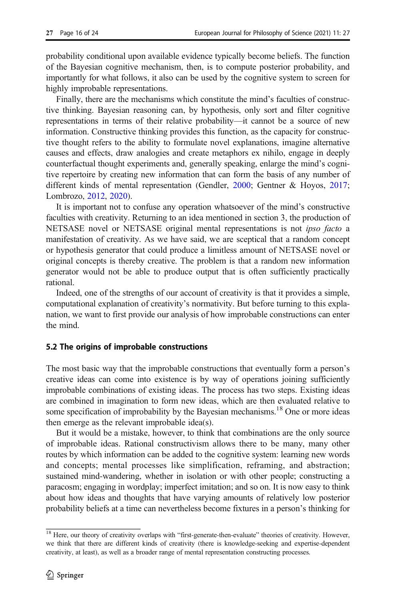probability conditional upon available evidence typically become beliefs. The function of the Bayesian cognitive mechanism, then, is to compute posterior probability, and importantly for what follows, it also can be used by the cognitive system to screen for highly improbable representations.

Finally, there are the mechanisms which constitute the mind's faculties of constructive thinking. Bayesian reasoning can, by hypothesis, only sort and filter cognitive representations in terms of their relative probability—it cannot be a source of new information. Constructive thinking provides this function, as the capacity for constructive thought refers to the ability to formulate novel explanations, imagine alternative causes and effects, draw analogies and create metaphors ex nihilo, engage in deeply counterfactual thought experiments and, generally speaking, enlarge the mind's cognitive repertoire by creating new information that can form the basis of any number of different kinds of mental representation (Gendler, [2000](#page-22-0); Gentner & Hoyos, [2017;](#page-22-0) Lombrozo, [2012](#page-22-0), [2020](#page-22-0)).

It is important not to confuse any operation whatsoever of the mind's constructive faculties with creativity. Returning to an idea mentioned in section 3, the production of NETSASE novel or NETSASE original mental representations is not *ipso facto* a manifestation of creativity. As we have said, we are sceptical that a random concept or hypothesis generator that could produce a limitless amount of NETSASE novel or original concepts is thereby creative. The problem is that a random new information generator would not be able to produce output that is often sufficiently practically rational.

Indeed, one of the strengths of our account of creativity is that it provides a simple, computational explanation of creativity's normativity. But before turning to this explanation, we want to first provide our analysis of how improbable constructions can enter the mind.

#### 5.2 The origins of improbable constructions

The most basic way that the improbable constructions that eventually form a person's creative ideas can come into existence is by way of operations joining sufficiently improbable combinations of existing ideas. The process has two steps. Existing ideas are combined in imagination to form new ideas, which are then evaluated relative to some specification of improbability by the Bayesian mechanisms.<sup>18</sup> One or more ideas then emerge as the relevant improbable idea(s).

But it would be a mistake, however, to think that combinations are the only source of improbable ideas. Rational constructivism allows there to be many, many other routes by which information can be added to the cognitive system: learning new words and concepts; mental processes like simplification, reframing, and abstraction; sustained mind-wandering, whether in isolation or with other people; constructing a paracosm; engaging in wordplay; imperfect imitation; and so on. It is now easy to think about how ideas and thoughts that have varying amounts of relatively low posterior probability beliefs at a time can nevertheless become fixtures in a person's thinking for

<sup>&</sup>lt;sup>18</sup> Here, our theory of creativity overlaps with "first-generate-then-evaluate" theories of creativity. However, we think that there are different kinds of creativity (there is knowledge-seeking and expertise-dependent creativity, at least), as well as a broader range of mental representation constructing processes.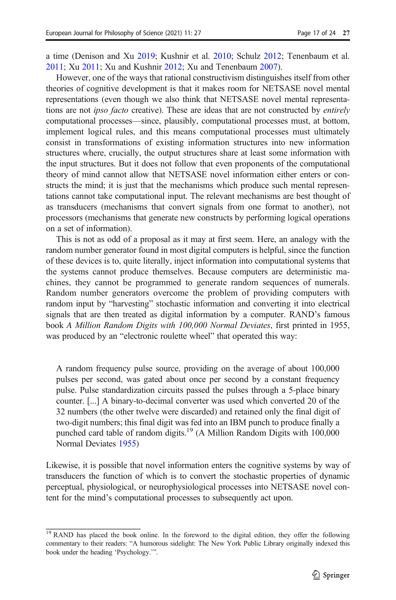a time (Denison and Xu [2019](#page-22-0); Kushnir et al. [2010](#page-22-0); Schulz [2012](#page-23-0); Tenenbaum et al. [2011;](#page-23-0) Xu 2011; Xu and Kushnir 2012; Xu and Tenenbaum 2007).

However, one of the ways that rational constructivism distinguishes itself from other theories of cognitive development is that it makes room for NETSASE novel mental representations (even though we also think that NETSASE novel mental representations are not *ipso facto* creative). These are ideas that are not constructed by *entirely* computational processes—since, plausibly, computational processes must, at bottom, implement logical rules, and this means computational processes must ultimately consist in transformations of existing information structures into new information structures where, crucially, the output structures share at least some information with the input structures. But it does not follow that even proponents of the computational theory of mind cannot allow that NETSASE novel information either enters or constructs the mind; it is just that the mechanisms which produce such mental representations cannot take computational input. The relevant mechanisms are best thought of as transducers (mechanisms that convert signals from one format to another), not processors (mechanisms that generate new constructs by performing logical operations on a set of information).

This is not as odd of a proposal as it may at first seem. Here, an analogy with the random number generator found in most digital computers is helpful, since the function of these devices is to, quite literally, inject information into computational systems that the systems cannot produce themselves. Because computers are deterministic machines, they cannot be programmed to generate random sequences of numerals. Random number generators overcome the problem of providing computers with random input by "harvesting" stochastic information and converting it into electrical signals that are then treated as digital information by a computer. RAND's famous book A Million Random Digits with 100,000 Normal Deviates, first printed in 1955, was produced by an "electronic roulette wheel" that operated this way:

A random frequency pulse source, providing on the average of about 100,000 pulses per second, was gated about once per second by a constant frequency pulse. Pulse standardization circuits passed the pulses through a 5-place binary counter. [...] A binary-to-decimal converter was used which converted 20 of the 32 numbers (the other twelve were discarded) and retained only the final digit of two-digit numbers; this final digit was fed into an IBM punch to produce finally a punched card table of random digits.<sup>19</sup> (A Million Random Digits with 100,000 Normal Deviates [1955](#page-21-0))

Likewise, it is possible that novel information enters the cognitive systems by way of transducers the function of which is to convert the stochastic properties of dynamic perceptual, physiological, or neurophysiological processes into NETSASE novel content for the mind's computational processes to subsequently act upon.

<sup>&</sup>lt;sup>19</sup> RAND has placed the book online. In the foreword to the digital edition, they offer the following commentary to their readers: "A humorous sidelight: The New York Public Library originally indexed this book under the heading 'Psychology.'".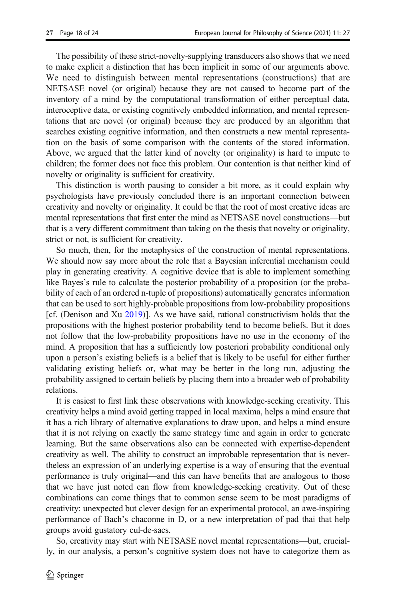The possibility of these strict-novelty-supplying transducers also shows that we need to make explicit a distinction that has been implicit in some of our arguments above. We need to distinguish between mental representations (constructions) that are NETSASE novel (or original) because they are not caused to become part of the inventory of a mind by the computational transformation of either perceptual data, interoceptive data, or existing cognitively embedded information, and mental representations that are novel (or original) because they are produced by an algorithm that searches existing cognitive information, and then constructs a new mental representation on the basis of some comparison with the contents of the stored information. Above, we argued that the latter kind of novelty (or originality) is hard to impute to children; the former does not face this problem. Our contention is that neither kind of novelty or originality is sufficient for creativity.

This distinction is worth pausing to consider a bit more, as it could explain why psychologists have previously concluded there is an important connection between creativity and novelty or originality. It could be that the root of most creative ideas are mental representations that first enter the mind as NETSASE novel constructions—but that is a very different commitment than taking on the thesis that novelty or originality, strict or not, is sufficient for creativity.

So much, then, for the metaphysics of the construction of mental representations. We should now say more about the role that a Bayesian inferential mechanism could play in generating creativity. A cognitive device that is able to implement something like Bayes's rule to calculate the posterior probability of a proposition (or the probability of each of an ordered n-tuple of propositions) automatically generates information that can be used to sort highly-probable propositions from low-probability propositions [cf. (Denison and Xu [2019](#page-22-0))]. As we have said, rational constructivism holds that the propositions with the highest posterior probability tend to become beliefs. But it does not follow that the low-probability propositions have no use in the economy of the mind. A proposition that has a sufficiently low posteriori probability conditional only upon a person's existing beliefs is a belief that is likely to be useful for either further validating existing beliefs or, what may be better in the long run, adjusting the probability assigned to certain beliefs by placing them into a broader web of probability relations.

It is easiest to first link these observations with knowledge-seeking creativity. This creativity helps a mind avoid getting trapped in local maxima, helps a mind ensure that it has a rich library of alternative explanations to draw upon, and helps a mind ensure that it is not relying on exactly the same strategy time and again in order to generate learning. But the same observations also can be connected with expertise-dependent creativity as well. The ability to construct an improbable representation that is nevertheless an expression of an underlying expertise is a way of ensuring that the eventual performance is truly original—and this can have benefits that are analogous to those that we have just noted can flow from knowledge-seeking creativity. Out of these combinations can come things that to common sense seem to be most paradigms of creativity: unexpected but clever design for an experimental protocol, an awe-inspiring performance of Bach's chaconne in D, or a new interpretation of pad thai that help groups avoid gustatory cul-de-sacs.

So, creativity may start with NETSASE novel mental representations—but, crucially, in our analysis, a person's cognitive system does not have to categorize them as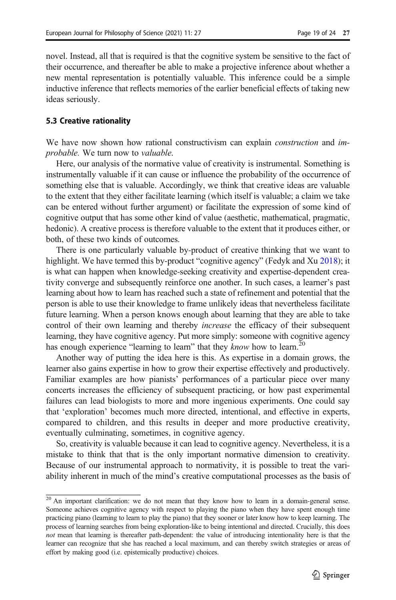novel. Instead, all that is required is that the cognitive system be sensitive to the fact of their occurrence, and thereafter be able to make a projective inference about whether a new mental representation is potentially valuable. This inference could be a simple inductive inference that reflects memories of the earlier beneficial effects of taking new ideas seriously.

#### 5.3 Creative rationality

We have now shown how rational constructivism can explain *construction* and *im*probable. We turn now to valuable.

Here, our analysis of the normative value of creativity is instrumental. Something is instrumentally valuable if it can cause or influence the probability of the occurrence of something else that is valuable. Accordingly, we think that creative ideas are valuable to the extent that they either facilitate learning (which itself is valuable; a claim we take can be entered without further argument) or facilitate the expression of some kind of cognitive output that has some other kind of value (aesthetic, mathematical, pragmatic, hedonic). A creative process is therefore valuable to the extent that it produces either, or both, of these two kinds of outcomes.

There is one particularly valuable by-product of creative thinking that we want to highlight. We have termed this by-product "cognitive agency" (Fedyk and Xu [2018\)](#page-22-0); it is what can happen when knowledge-seeking creativity and expertise-dependent creativity converge and subsequently reinforce one another. In such cases, a learner's past learning about how to learn has reached such a state of refinement and potential that the person is able to use their knowledge to frame unlikely ideas that nevertheless facilitate future learning. When a person knows enough about learning that they are able to take control of their own learning and thereby *increase* the efficacy of their subsequent learning, they have cognitive agency. Put more simply: someone with cognitive agency has enough experience "learning to learn" that they *know* how to learn.<sup>20</sup>

Another way of putting the idea here is this. As expertise in a domain grows, the learner also gains expertise in how to grow their expertise effectively and productively. Familiar examples are how pianists' performances of a particular piece over many concerts increases the efficiency of subsequent practicing, or how past experimental failures can lead biologists to more and more ingenious experiments. One could say that 'exploration' becomes much more directed, intentional, and effective in experts, compared to children, and this results in deeper and more productive creativity, eventually culminating, sometimes, in cognitive agency.

So, creativity is valuable because it can lead to cognitive agency. Nevertheless, it is a mistake to think that that is the only important normative dimension to creativity. Because of our instrumental approach to normativity, it is possible to treat the variability inherent in much of the mind's creative computational processes as the basis of

<sup>&</sup>lt;sup>20</sup> An important clarification: we do not mean that they know how to learn in a domain-general sense. Someone achieves cognitive agency with respect to playing the piano when they have spent enough time practicing piano (learning to learn to play the piano) that they sooner or later know how to keep learning. The process of learning searches from being exploration-like to being intentional and directed. Crucially, this does not mean that learning is thereafter path-dependent: the value of introducing intentionality here is that the learner can recognize that she has reached a local maximum, and can thereby switch strategies or areas of effort by making good (i.e. epistemically productive) choices.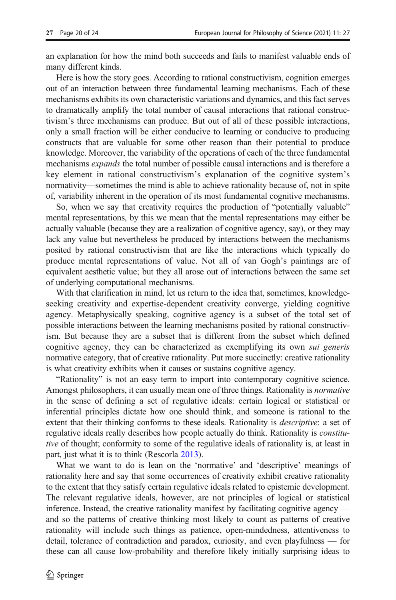an explanation for how the mind both succeeds and fails to manifest valuable ends of many different kinds.

Here is how the story goes. According to rational constructivism, cognition emerges out of an interaction between three fundamental learning mechanisms. Each of these mechanisms exhibits its own characteristic variations and dynamics, and this fact serves to dramatically amplify the total number of causal interactions that rational constructivism's three mechanisms can produce. But out of all of these possible interactions, only a small fraction will be either conducive to learning or conducive to producing constructs that are valuable for some other reason than their potential to produce knowledge. Moreover, the variability of the operations of each of the three fundamental mechanisms *expands* the total number of possible causal interactions and is therefore a key element in rational constructivism's explanation of the cognitive system's normativity—sometimes the mind is able to achieve rationality because of, not in spite of, variability inherent in the operation of its most fundamental cognitive mechanisms.

So, when we say that creativity requires the production of "potentially valuable" mental representations, by this we mean that the mental representations may either be actually valuable (because they are a realization of cognitive agency, say), or they may lack any value but nevertheless be produced by interactions between the mechanisms posited by rational constructivism that are like the interactions which typically do produce mental representations of value. Not all of van Gogh's paintings are of equivalent aesthetic value; but they all arose out of interactions between the same set of underlying computational mechanisms.

With that clarification in mind, let us return to the idea that, sometimes, knowledgeseeking creativity and expertise-dependent creativity converge, yielding cognitive agency. Metaphysically speaking, cognitive agency is a subset of the total set of possible interactions between the learning mechanisms posited by rational constructivism. But because they are a subset that is different from the subset which defined cognitive agency, they can be characterized as exemplifying its own sui generis normative category, that of creative rationality. Put more succinctly: creative rationality is what creativity exhibits when it causes or sustains cognitive agency.

"Rationality" is not an easy term to import into contemporary cognitive science. Amongst philosophers, it can usually mean one of three things. Rationality is *normative* in the sense of defining a set of regulative ideals: certain logical or statistical or inferential principles dictate how one should think, and someone is rational to the extent that their thinking conforms to these ideals. Rationality is *descriptive*: a set of regulative ideals really describes how people actually do think. Rationality is *constitu*tive of thought; conformity to some of the regulative ideals of rationality is, at least in part, just what it is to think (Rescorla [2013](#page-23-0)).

What we want to do is lean on the 'normative' and 'descriptive' meanings of rationality here and say that some occurrences of creativity exhibit creative rationality to the extent that they satisfy certain regulative ideals related to epistemic development. The relevant regulative ideals, however, are not principles of logical or statistical inference. Instead, the creative rationality manifest by facilitating cognitive agency and so the patterns of creative thinking most likely to count as patterns of creative rationality will include such things as patience, open-mindedness, attentiveness to detail, tolerance of contradiction and paradox, curiosity, and even playfulness — for these can all cause low-probability and therefore likely initially surprising ideas to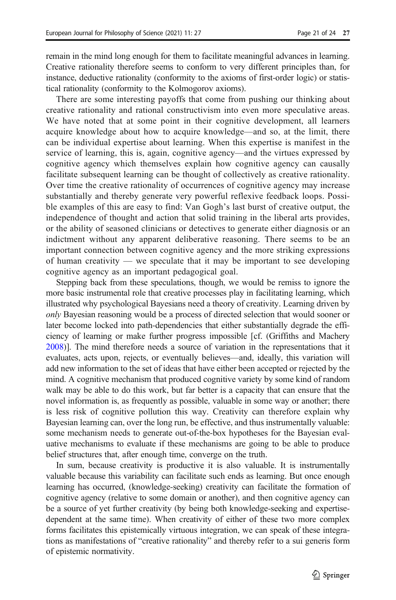remain in the mind long enough for them to facilitate meaningful advances in learning. Creative rationality therefore seems to conform to very different principles than, for instance, deductive rationality (conformity to the axioms of first-order logic) or statistical rationality (conformity to the Kolmogorov axioms).

There are some interesting payoffs that come from pushing our thinking about creative rationality and rational constructivism into even more speculative areas. We have noted that at some point in their cognitive development, all learners acquire knowledge about how to acquire knowledge—and so, at the limit, there can be individual expertise about learning. When this expertise is manifest in the service of learning, this is, again, cognitive agency—and the virtues expressed by cognitive agency which themselves explain how cognitive agency can causally facilitate subsequent learning can be thought of collectively as creative rationality. Over time the creative rationality of occurrences of cognitive agency may increase substantially and thereby generate very powerful reflexive feedback loops. Possible examples of this are easy to find: Van Gogh's last burst of creative output, the independence of thought and action that solid training in the liberal arts provides, or the ability of seasoned clinicians or detectives to generate either diagnosis or an indictment without any apparent deliberative reasoning. There seems to be an important connection between cognitive agency and the more striking expressions of human creativity — we speculate that it may be important to see developing cognitive agency as an important pedagogical goal.

Stepping back from these speculations, though, we would be remiss to ignore the more basic instrumental role that creative processes play in facilitating learning, which illustrated why psychological Bayesians need a theory of creativity. Learning driven by only Bayesian reasoning would be a process of directed selection that would sooner or later become locked into path-dependencies that either substantially degrade the efficiency of learning or make further progress impossible [cf. (Griffiths and Machery [2008\)](#page-22-0)]. The mind therefore needs a source of variation in the representations that it evaluates, acts upon, rejects, or eventually believes—and, ideally, this variation will add new information to the set of ideas that have either been accepted or rejected by the mind. A cognitive mechanism that produced cognitive variety by some kind of random walk may be able to do this work, but far better is a capacity that can ensure that the novel information is, as frequently as possible, valuable in some way or another; there is less risk of cognitive pollution this way. Creativity can therefore explain why Bayesian learning can, over the long run, be effective, and thus instrumentally valuable: some mechanism needs to generate out-of-the-box hypotheses for the Bayesian evaluative mechanisms to evaluate if these mechanisms are going to be able to produce belief structures that, after enough time, converge on the truth.

In sum, because creativity is productive it is also valuable. It is instrumentally valuable because this variability can facilitate such ends as learning. But once enough learning has occurred, (knowledge-seeking) creativity can facilitate the formation of cognitive agency (relative to some domain or another), and then cognitive agency can be a source of yet further creativity (by being both knowledge-seeking and expertisedependent at the same time). When creativity of either of these two more complex forms facilitates this epistemically virtuous integration, we can speak of these integrations as manifestations of "creative rationality" and thereby refer to a sui generis form of epistemic normativity.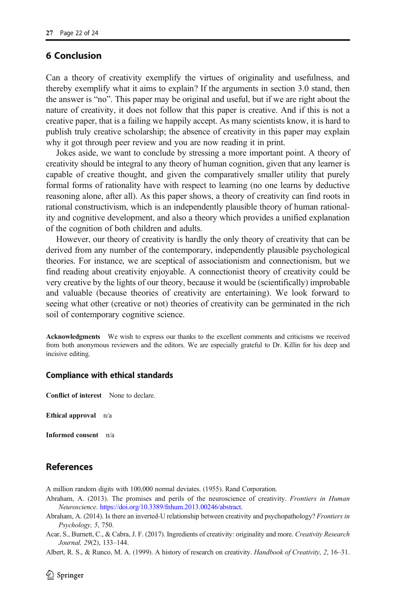### <span id="page-21-0"></span>6 Conclusion

Can a theory of creativity exemplify the virtues of originality and usefulness, and thereby exemplify what it aims to explain? If the arguments in section 3.0 stand, then the answer is "no". This paper may be original and useful, but if we are right about the nature of creativity, it does not follow that this paper is creative. And if this is not a creative paper, that is a failing we happily accept. As many scientists know, it is hard to publish truly creative scholarship; the absence of creativity in this paper may explain why it got through peer review and you are now reading it in print.

Jokes aside, we want to conclude by stressing a more important point. A theory of creativity should be integral to any theory of human cognition, given that any learner is capable of creative thought, and given the comparatively smaller utility that purely formal forms of rationality have with respect to learning (no one learns by deductive reasoning alone, after all). As this paper shows, a theory of creativity can find roots in rational constructivism, which is an independently plausible theory of human rationality and cognitive development, and also a theory which provides a unified explanation of the cognition of both children and adults.

However, our theory of creativity is hardly the only theory of creativity that can be derived from any number of the contemporary, independently plausible psychological theories. For instance, we are sceptical of associationism and connectionism, but we find reading about creativity enjoyable. A connectionist theory of creativity could be very creative by the lights of our theory, because it would be (scientifically) improbable and valuable (because theories of creativity are entertaining). We look forward to seeing what other (creative or not) theories of creativity can be germinated in the rich soil of contemporary cognitive science.

Acknowledgments We wish to express our thanks to the excellent comments and criticisms we received from both anonymous reviewers and the editors. We are especially grateful to Dr. Killin for his deep and incisive editing.

#### Compliance with ethical standards

Conflict of interest None to declare.

Ethical approval n/a

Informed consent n/a

### **References**

A million random digits with 100,000 normal deviates. (1955). Rand Corporation.

- Abraham, A. (2013). The promises and perils of the neuroscience of creativity. Frontiers in Human Neuroscience. <https://doi.org/10.3389/fnhum.2013.00246/abstract>.
- Abraham, A. (2014). Is there an inverted-U relationship between creativity and psychopathology? Frontiers in Psychology, 5, 750.
- Acar, S., Burnett, C., & Cabra, J. F. (2017). Ingredients of creativity: originality and more. Creativity Research Journal, 29(2), 133–144.

Albert, R. S., & Runco, M. A. (1999). A history of research on creativity. Handbook of Creativity, 2, 16–31.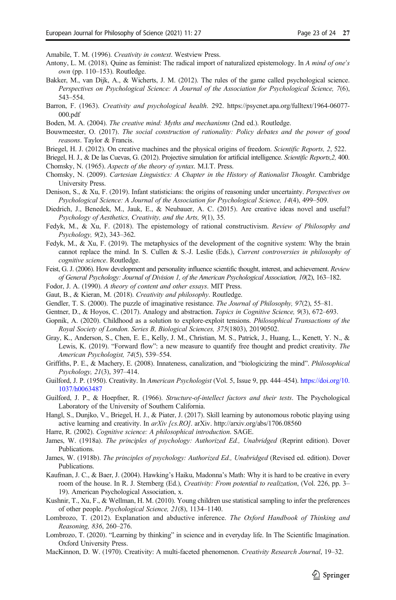<span id="page-22-0"></span>Amabile, T. M. (1996). Creativity in context. Westview Press.

- Antony, L. M. (2018). Quine as feminist: The radical import of naturalized epistemology. In A mind of one's own (pp. 110–153). Routledge.
- Bakker, M., van Dijk, A., & Wicherts, J. M. (2012). The rules of the game called psychological science. Perspectives on Psychological Science: A Journal of the Association for Psychological Science, 7(6), 543–554.
- Barron, F. (1963). Creativity and psychological health. 292. https://psycnet.apa.org/fulltext/1964-06077- 000.pdf
- Boden, M. A. (2004). The creative mind: Myths and mechanisms (2nd ed.). Routledge.
- Bouwmeester, O. (2017). The social construction of rationality: Policy debates and the power of good reasons. Taylor & Francis.
- Briegel, H. J. (2012). On creative machines and the physical origins of freedom. Scientific Reports, 2, 522.
- Briegel, H. J., & De las Cuevas, G. (2012). Projective simulation for artificial intelligence. Scientific Reports,2, 400. Chomsky, N. (1965). Aspects of the theory of syntax. M.I.T. Press.
- Chomsky, N. (2009). Cartesian Linguistics: A Chapter in the History of Rationalist Thought. Cambridge University Press.
- Denison, S., & Xu, F. (2019). Infant statisticians: the origins of reasoning under uncertainty. Perspectives on Psychological Science: A Journal of the Association for Psychological Science, 14(4), 499–509.
- Diedrich, J., Benedek, M., Jauk, E., & Neubauer, A. C. (2015). Are creative ideas novel and useful? Psychology of Aesthetics, Creativity, and the Arts, 9(1), 35.
- Fedyk, M., & Xu, F. (2018). The epistemology of rational constructivism. Review of Philosophy and Psychology, 9(2), 343–362.
- Fedyk, M., & Xu, F. (2019). The metaphysics of the development of the cognitive system: Why the brain cannot replace the mind. In S. Cullen & S.-J. Leslie (Eds.), Current controversies in philosophy of cognitive science. Routledge.
- Feist, G. J. (2006). How development and personality influence scientific thought, interest, and achievement. Review of General Psychology: Journal of Division 1, of the American Psychological Association, 10(2), 163–182.
- Fodor, J. A. (1990). A theory of content and other essays. MIT Press.
- Gaut, B., & Kieran, M. (2018). Creativity and philosophy. Routledge.
- Gendler, T. S. (2000). The puzzle of imaginative resistance. The Journal of Philosophy, 97(2), 55–81.
- Gentner, D., & Hoyos, C. (2017). Analogy and abstraction. Topics in Cognitive Science, 9(3), 672-693.
- Gopnik, A. (2020). Childhood as a solution to explore-exploit tensions. Philosophical Transactions of the Royal Society of London. Series B, Biological Sciences, 375(1803), 20190502.
- Gray, K., Anderson, S., Chen, E. E., Kelly, J. M., Christian, M. S., Patrick, J., Huang, L., Kenett, Y. N., & Lewis, K. (2019). "Forward flow": a new measure to quantify free thought and predict creativity. The American Psychologist, 74(5), 539–554.
- Griffiths, P. E., & Machery, E. (2008). Innateness, canalization, and "biologicizing the mind". Philosophical Psychology, 21(3), 397–414.
- Guilford, J. P. (1950). Creativity. In American Psychologist (Vol. 5, Issue 9, pp. 444–454). [https://doi.org/10.](https://doi.org/10.1037/h0063487) [1037/h0063487](https://doi.org/10.1037/h0063487)
- Guilford, J. P., & Hoepfner, R. (1966). Structure-of-intellect factors and their tests. The Psychological Laboratory of the University of Southern California.
- Hangl, S., Dunjko, V., Briegel, H. J., & Piater, J. (2017). Skill learning by autonomous robotic playing using active learning and creativity. In arXiv [cs.RO]. arXiv. http://arxiv.org/abs/1706.08560
- Harre, R. (2002). Cognitive science: A philosophical introduction. SAGE.
- James, W. (1918a). The principles of psychology: Authorized Ed., Unabridged (Reprint edition). Dover Publications.
- James, W. (1918b). The principles of psychology: Authorized Ed., Unabridged (Revised ed. edition). Dover Publications.
- Kaufman, J. C., & Baer, J. (2004). Hawking's Haiku, Madonna's Math: Why it is hard to be creative in every room of the house. In R. J. Sternberg (Ed.), Creativity: From potential to realization, (Vol. 226, pp. 3– 19). American Psychological Association, x.
- Kushnir, T., Xu, F., & Wellman, H. M. (2010). Young children use statistical sampling to infer the preferences of other people. Psychological Science, 21(8), 1134–1140.
- Lombrozo, T. (2012). Explanation and abductive inference. The Oxford Handbook of Thinking and Reasoning, 836, 260–276.
- Lombrozo, T. (2020). "Learning by thinking" in science and in everyday life. In The Scientific Imagination. Oxford University Press.
- MacKinnon, D. W. (1970). Creativity: A multi-faceted phenomenon. Creativity Research Journal, 19-32.